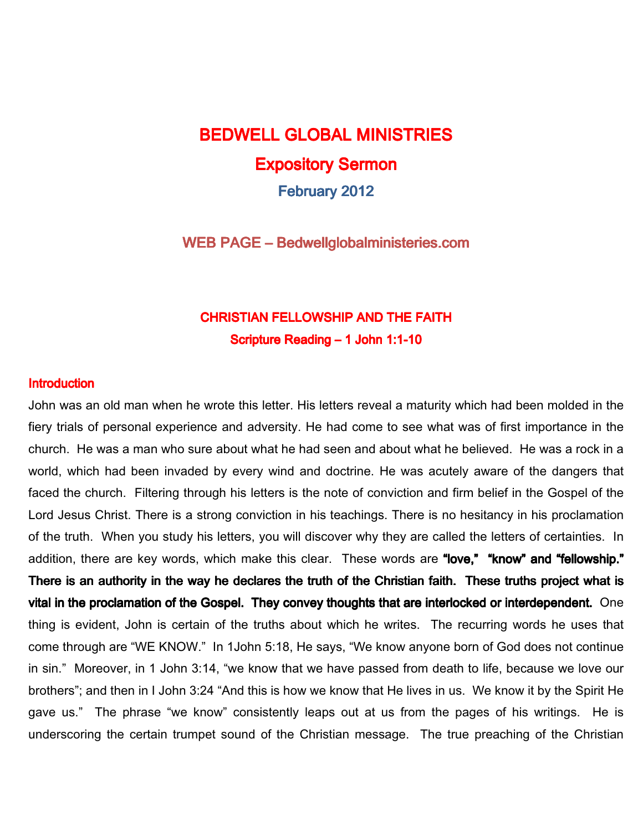# **BEDWELL GLOBAL MINISTRIES** Expository Sermon February 2012

WEB PAGE – Bedwellglobalministeries.com

### **CHRISTIAN FELLOWSHIP AND THE FAITH** Scripture Reading – 1 John 1:1-10

#### **Introduction**

John was an old man when he wrote this letter. His letters reveal a maturity which had been molded in the fiery trials of personal experience and adversity. He had come to see what was of first importance in the church. He was a man who sure about what he had seen and about what he believed. He was a rock in a world, which had been invaded by every wind and doctrine. He was acutely aware of the dangers that faced the church. Filtering through his letters is the note of conviction and firm belief in the Gospel of the Lord Jesus Christ. There is a strong conviction in his teachings. There is no hesitancy in his proclamation of the truth. When you study his letters, you will discover why they are called the letters of certainties. In addition, there are key words, which make this clear. These words are "love," "know" and "fellowship." There is an authority in the way he declares the truth of the Christian faith. These truths project what is vital in the proclamation of the Gospel. They convey thoughts that are interlocked or interdependent. One thing is evident, John is certain of the truths about which he writes. The recurring words he uses that come through are "WE KNOW." In 1John 5:18, He says, "We know anyone born of God does not continue in sin." Moreover, in 1 John 3:14, "we know that we have passed from death to life, because we love our brothers"; and then in I John 3:24 "And this is how we know that He lives in us. We know it by the Spirit He gave us." The phrase "we know" consistently leaps out at us from the pages of his writings. He is underscoring the certain trumpet sound of the Christian message. The true preaching of the Christian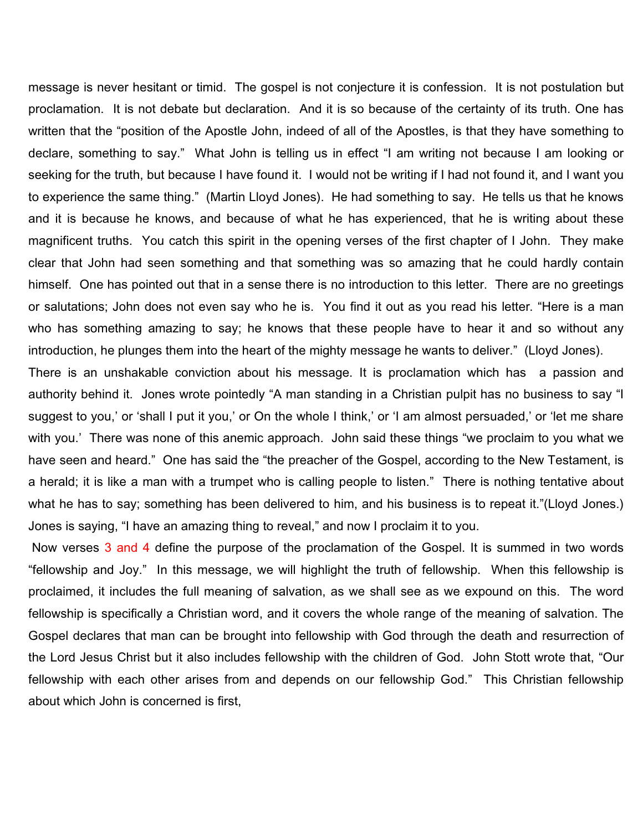message is never hesitant or timid. The gospel is not conjecture it is confession. It is not postulation but proclamation. It is not debate but declaration. And it is so because of the certainty of its truth. One has written that the "position of the Apostle John, indeed of all of the Apostles, is that they have something to declare, something to say." What John is telling us in effect "I am writing not because I am looking or seeking for the truth, but because I have found it. I would not be writing if I had not found it, and I want you to experience the same thing." (Martin Lloyd Jones). He had something to say. He tells us that he knows and it is because he knows, and because of what he has experienced, that he is writing about these magnificent truths. You catch this spirit in the opening verses of the first chapter of I John. They make clear that John had seen something and that something was so amazing that he could hardly contain himself. One has pointed out that in a sense there is no introduction to this letter. There are no greetings or salutations; John does not even say who he is. You find it out as you read his letter. "Here is a man who has something amazing to say; he knows that these people have to hear it and so without any introduction, he plunges them into the heart of the mighty message he wants to deliver." (Lloyd Jones).

There is an unshakable conviction about his message. It is proclamation which has a passion and authority behind it. Jones wrote pointedly "A man standing in a Christian pulpit has no business to say "I suggest to you,' or 'shall I put it you,' or On the whole I think,' or 'I am almost persuaded,' or 'let me share with you.' There was none of this anemic approach. John said these things "we proclaim to you what we have seen and heard." One has said the "the preacher of the Gospel, according to the New Testament, is a herald; it is like a man with a trumpet who is calling people to listen." There is nothing tentative about what he has to say; something has been delivered to him, and his business is to repeat it."(Lloyd Jones.) Jones is saying, "I have an amazing thing to reveal," and now I proclaim it to you.

Now verses 3 and 4 define the purpose of the proclamation of the Gospel. It is summed in two words "fellowship and Joy." In this message, we will highlight the truth of fellowship. When this fellowship is proclaimed, it includes the full meaning of salvation, as we shall see as we expound on this. The word fellowship is specifically a Christian word, and it covers the whole range of the meaning of salvation. The Gospel declares that man can be brought into fellowship with God through the death and resurrection of the Lord Jesus Christ but it also includes fellowship with the children of God. John Stott wrote that, "Our fellowship with each other arises from and depends on our fellowship God." This Christian fellowship about which John is concerned is first,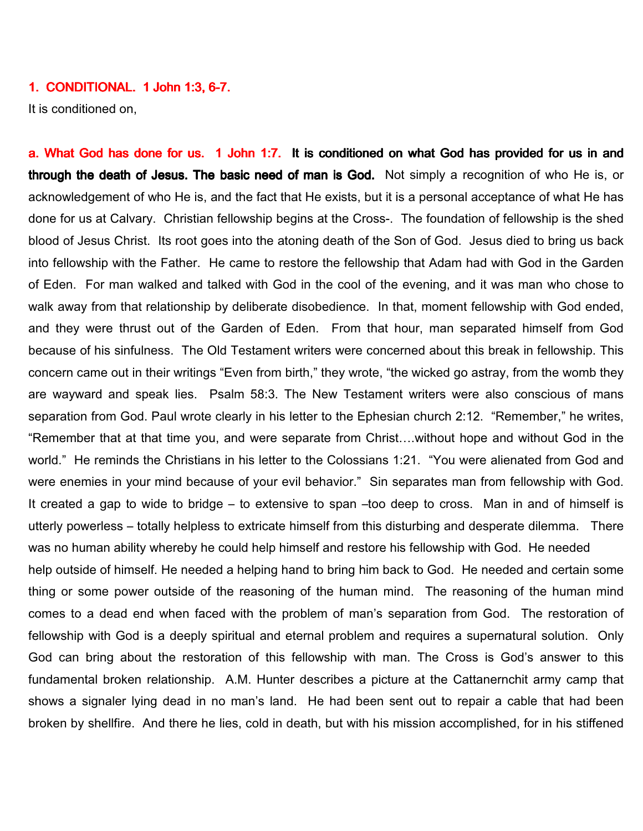#### 1. CONDITIONAL. 1 John 1:3, 6-7.

It is conditioned on,

a. What God has done for us. 1 John 1:7. It is conditioned on what God has provided for us in and through the death of Jesus. The basic need of man is God. Not simply a recognition of who He is, or acknowledgement of who He is, and the fact that He exists, but it is a personal acceptance of what He has done for us at Calvary. Christian fellowship begins at the Cross-. The foundation of fellowship is the shed blood of Jesus Christ. Its root goes into the atoning death of the Son of God. Jesus died to bring us back into fellowship with the Father. He came to restore the fellowship that Adam had with God in the Garden of Eden. For man walked and talked with God in the cool of the evening, and it was man who chose to walk away from that relationship by deliberate disobedience. In that, moment fellowship with God ended, and they were thrust out of the Garden of Eden. From that hour, man separated himself from God because of his sinfulness. The Old Testament writers were concerned about this break in fellowship. This concern came out in their writings "Even from birth," they wrote, "the wicked go astray, from the womb they are wayward and speak lies. Psalm 58:3. The New Testament writers were also conscious of mans separation from God. Paul wrote clearly in his letter to the Ephesian church 2:12. "Remember," he writes, "Remember that at that time you, and were separate from Christ….without hope and without God in the world." He reminds the Christians in his letter to the Colossians 1:21. "You were alienated from God and were enemies in your mind because of your evil behavior." Sin separates man from fellowship with God. It created a gap to wide to bridge – to extensive to span –too deep to cross. Man in and of himself is utterly powerless – totally helpless to extricate himself from this disturbing and desperate dilemma. There was no human ability whereby he could help himself and restore his fellowship with God. He needed help outside of himself. He needed a helping hand to bring him back to God. He needed and certain some thing or some power outside of the reasoning of the human mind. The reasoning of the human mind comes to a dead end when faced with the problem of man's separation from God. The restoration of fellowship with God is a deeply spiritual and eternal problem and requires a supernatural solution. Only God can bring about the restoration of this fellowship with man. The Cross is God's answer to this fundamental broken relationship. A.M. Hunter describes a picture at the Cattanernchit army camp that shows a signaler lying dead in no man's land. He had been sent out to repair a cable that had been broken by shellfire. And there he lies, cold in death, but with his mission accomplished, for in his stiffened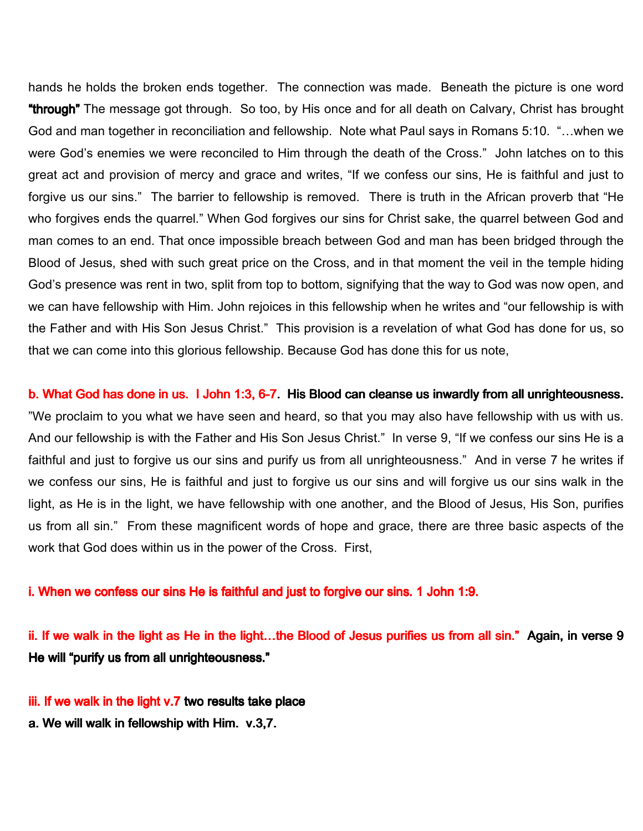hands he holds the broken ends together. The connection was made. Beneath the picture is one word "through" The message got through. So too, by His once and for all death on Calvary, Christ has brought God and man together in reconciliation and fellowship. Note what Paul says in Romans 5:10. "…when we were God's enemies we were reconciled to Him through the death of the Cross." John latches on to this great act and provision of mercy and grace and writes, "If we confess our sins, He is faithful and just to forgive us our sins." The barrier to fellowship is removed. There is truth in the African proverb that "He who forgives ends the quarrel." When God forgives our sins for Christ sake, the quarrel between God and man comes to an end. That once impossible breach between God and man has been bridged through the Blood of Jesus, shed with such great price on the Cross, and in that moment the veil in the temple hiding God's presence was rent in two, split from top to bottom, signifying that the way to God was now open, and we can have fellowship with Him. John rejoices in this fellowship when he writes and "our fellowship is with the Father and with His Son Jesus Christ." This provision is a revelation of what God has done for us, so that we can come into this glorious fellowship. Because God has done this for us note,

b. What God has done in us. I John 1:3, 6-7. His Blood can cleanse us inwardly from all unrighteousness. "We proclaim to you what we have seen and heard, so that you may also have fellowship with us with us. And our fellowship is with the Father and His Son Jesus Christ." In verse 9, "If we confess our sins He is a faithful and just to forgive us our sins and purify us from all unrighteousness." And in verse 7 he writes if we confess our sins, He is faithful and just to forgive us our sins and will forgive us our sins walk in the light, as He is in the light, we have fellowship with one another, and the Blood of Jesus, His Son, purifies us from all sin." From these magnificent words of hope and grace, there are three basic aspects of the work that God does within us in the power of the Cross. First,

i. When we confess our sins He is faithful and just to forgive our sins. 1 John 1:9.

ii. If we walk in the light as He in the light...the Blood of Jesus purifies us from all sin." Again, in verse 9 He will "purify us from all unrighteousness."

- iii. If we walk in the light v.7 two results take place
- a. We will walk in fellowship with Him.  $v.3,7$ .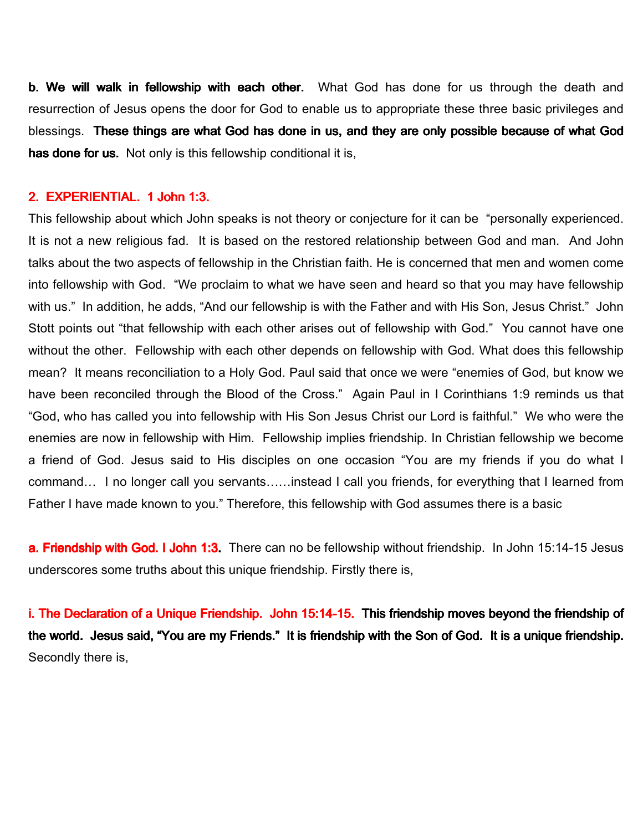b. We will walk in fellowship with each other. What God has done for us through the death and resurrection of Jesus opens the door for God to enable us to appropriate these three basic privileges and blessings. These things are what God has done in us, and they are only possible because of what God has done for us. Not only is this fellowship conditional it is,

#### 2. EXPERIENTIAL. 1 John 1:3.

This fellowship about which John speaks is not theory or conjecture for it can be "personally experienced. It is not a new religious fad. It is based on the restored relationship between God and man. And John talks about the two aspects of fellowship in the Christian faith. He is concerned that men and women come into fellowship with God. "We proclaim to what we have seen and heard so that you may have fellowship with us." In addition, he adds, "And our fellowship is with the Father and with His Son, Jesus Christ." John Stott points out "that fellowship with each other arises out of fellowship with God." You cannot have one without the other. Fellowship with each other depends on fellowship with God. What does this fellowship mean? It means reconciliation to a Holy God. Paul said that once we were "enemies of God, but know we have been reconciled through the Blood of the Cross." Again Paul in I Corinthians 1:9 reminds us that "God, who has called you into fellowship with His Son Jesus Christ our Lord is faithful." We who were the enemies are now in fellowship with Him. Fellowship implies friendship. In Christian fellowship we become a friend of God. Jesus said to His disciples on one occasion "You are my friends if you do what I command… I no longer call you servants……instead I call you friends, for everything that I learned from Father I have made known to you." Therefore, this fellowship with God assumes there is a basic

a. Friendship with God. I John 1:3. There can no be fellowship without friendship. In John 15:14-15 Jesus underscores some truths about this unique friendship. Firstly there is,

i. The Declaration of a Unique Friendship. John 15:14-15. This friendship moves beyond the friendship of the world. Jesus said, "You are my Friends." It is friendship with the Son of God. It is a unique friendship. Secondly there is,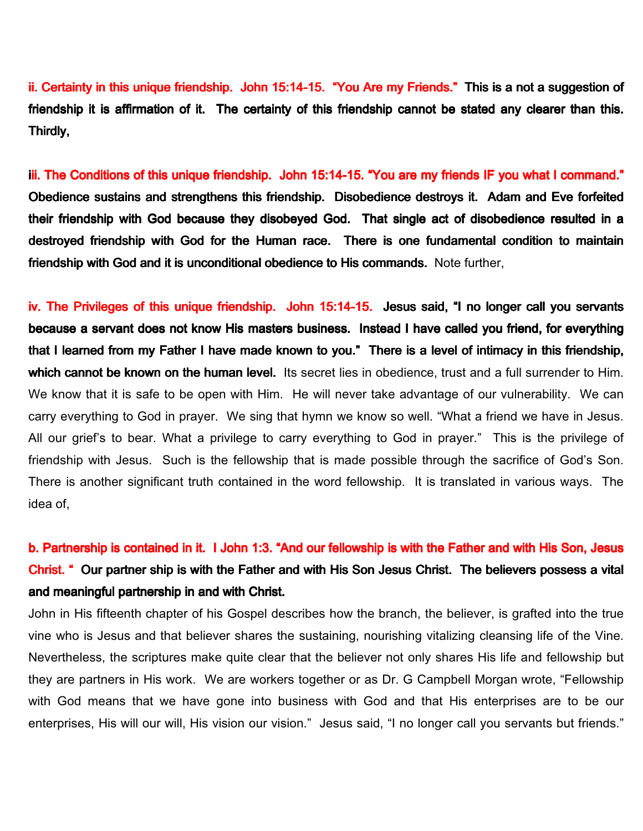ii. Certainty in this unique friendship. John 15:14-15. "You Are my Friends." This is a not a suggestion of friendship it is affirmation of it. The certainty of this friendship cannot be stated any clearer than this. Thirdly,

iii. The Conditions of this unique friendship. John 15:14-15. "You are my friends IF you what I command." Obedience sustains and strengthens this friendship. Disobedience destroys it. Adam and Eve forfeited their friendship with God because they disobeyed God. That single act of disobedience resulted in a destroyed friendship with God for the Human race. There is one fundamental condition to maintain friendship with God and it is unconditional obedience to His commands. Note further,

iv. The Privileges of this unique friendship. John 15:14-15. Jesus said, "I no longer call you servants because a servant does not know His masters business. Instead I have called you friend, for everything that I learned from my Father I have made known to you." There is a level of intimacy in this friendship, which cannot be known on the human level. Its secret lies in obedience, trust and a full surrender to Him. We know that it is safe to be open with Him. He will never take advantage of our vulnerability. We can carry everything to God in prayer. We sing that hymn we know so well. "What a friend we have in Jesus. All our grief's to bear. What a privilege to carry everything to God in prayer." This is the privilege of friendship with Jesus. Such is the fellowship that is made possible through the sacrifice of God's Son. There is another significant truth contained in the word fellowship. It is translated in various ways. The idea of,

## b. Partnership is contained in it. I John 1:3. "And our fellowship is with the Father and with His Son, Jesus Christ. " Our partner ship is with the Father and with His Son Jesus Christ. The believers possess a vital and meaningful partnership in and with Christ.

John in His fifteenth chapter of his Gospel describes how the branch, the believer, is grafted into the true vine who is Jesus and that believer shares the sustaining, nourishing vitalizing cleansing life of the Vine. Nevertheless, the scriptures make quite clear that the believer not only shares His life and fellowship but they are partners in His work. We are workers together or as Dr. G Campbell Morgan wrote, "Fellowship with God means that we have gone into business with God and that His enterprises are to be our enterprises, His will our will, His vision our vision." Jesus said, "I no longer call you servants but friends."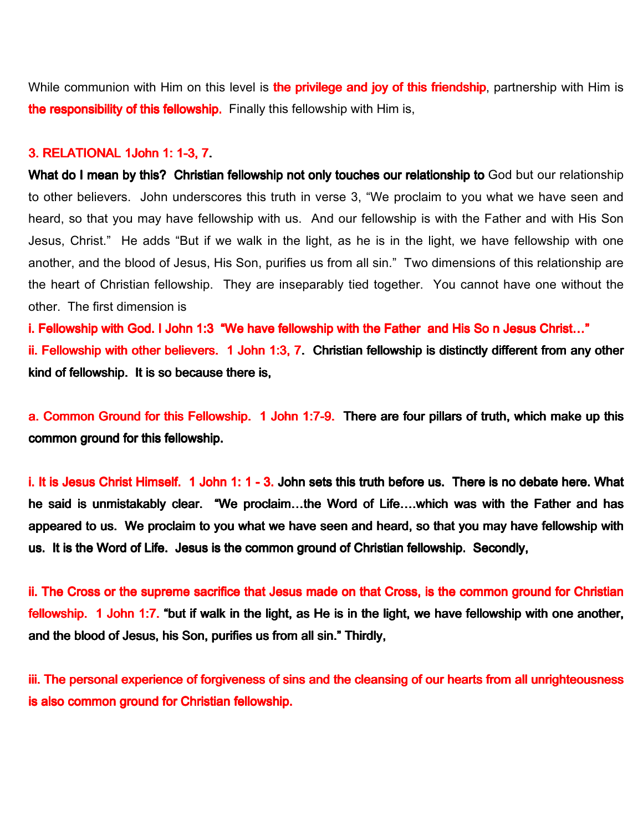While communion with Him on this level is **the privilege and joy of this friendship**, partnership with Him is the responsibility of this fellowship. Finally this fellowship with Him is,

#### 3. RELATIONAL 1John 1: 1-3, 7.

What do I mean by this? Christian fellowship not only touches our relationship to God but our relationship to other believers. John underscores this truth in verse 3, "We proclaim to you what we have seen and heard, so that you may have fellowship with us. And our fellowship is with the Father and with His Son Jesus, Christ." He adds "But if we walk in the light, as he is in the light, we have fellowship with one another, and the blood of Jesus, His Son, purifies us from all sin." Two dimensions of this relationship are the heart of Christian fellowship. They are inseparably tied together. You cannot have one without the other. The first dimension is

i. Fellowship with God. I John 1:3 "We have fellowship with the Father and His So n Jesus Christ..." ii. Fellowship with other believers. 1 John 1:3, 7. Christian fellowship is distinctly different from any other kind of fellowship. It is so because there is,

a. Common Ground for this Fellowship. 1 John 1:7-9. There are four pillars of truth, which make up this common ground for this fellowship.

i. It is Jesus Christ Himself. 1 John 1: 1 - 3. John sets this truth before us. There is no debate here. What he said is unmistakably clear. "We proclaim...the Word of Life....which was with the Father and has appeared to us. We proclaim to you what we have seen and heard, so that you may have fellowship with us. It is the Word of Life. Jesus is the common ground of Christian fellowship. Secondly,

ii. The Cross or the supreme sacrifice that Jesus made on that Cross, is the common ground for Christian fellowship. 1 John 1:7. "but if walk in the light, as He is in the light, we have fellowship with one another, and the blood of Jesus, his Son, purifies us from all sin." Thirdly,

iii. The personal experience of forgiveness of sins and the cleansing of our hearts from all unrighteousness is also common ground for Christian fellowship.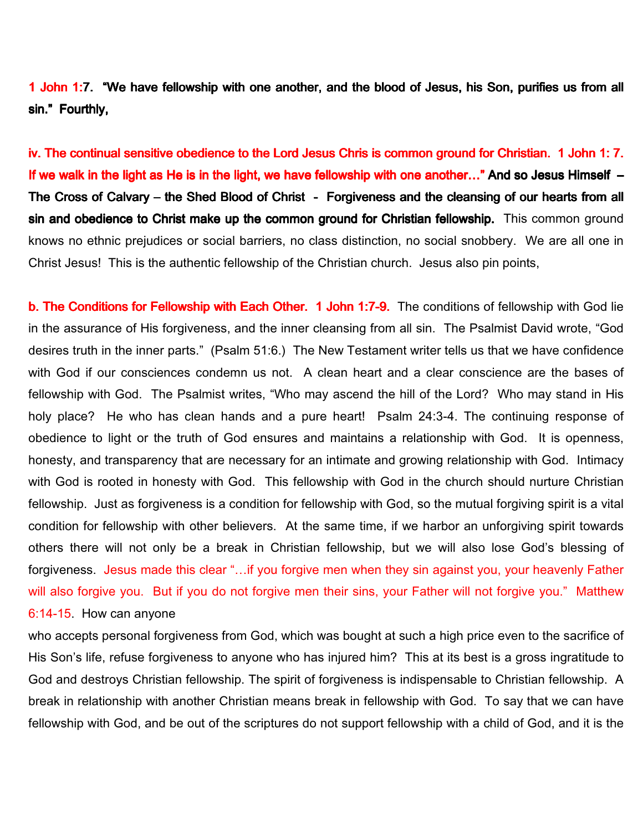1 John 1:7. "We have fellowship with one another, and the blood of Jesus, his Son, purifies us from all sin." Fourthly,

iv. The continual sensitive obedience to the Lord Jesus Chris is common ground for Christian. 1 John 1: 7. If we walk in the light as He is in the light, we have fellowship with one another..." And so Jesus Himself  $-$ The Cross of Calvary – the Shed Blood of Christ - Forgiveness and the cleansing of our hearts from all sin and obedience to Christ make up the common ground for Christian fellowship. This common ground knows no ethnic prejudices or social barriers, no class distinction, no social snobbery. We are all one in Christ Jesus! This is the authentic fellowship of the Christian church. Jesus also pin points,

b. The Conditions for Fellowship with Each Other. 1 John 1:7-9. The conditions of fellowship with God lie in the assurance of His forgiveness, and the inner cleansing from all sin. The Psalmist David wrote, "God desires truth in the inner parts." (Psalm 51:6.) The New Testament writer tells us that we have confidence with God if our consciences condemn us not. A clean heart and a clear conscience are the bases of fellowship with God. The Psalmist writes, "Who may ascend the hill of the Lord? Who may stand in His holy place? He who has clean hands and a pure heart! Psalm 24:3-4. The continuing response of obedience to light or the truth of God ensures and maintains a relationship with God. It is openness, honesty, and transparency that are necessary for an intimate and growing relationship with God. Intimacy with God is rooted in honesty with God. This fellowship with God in the church should nurture Christian fellowship. Just as forgiveness is a condition for fellowship with God, so the mutual forgiving spirit is a vital condition for fellowship with other believers. At the same time, if we harbor an unforgiving spirit towards others there will not only be a break in Christian fellowship, but we will also lose God's blessing of forgiveness. Jesus made this clear "...if you forgive men when they sin against you, your heavenly Father will also forgive you. But if you do not forgive men their sins, your Father will not forgive you." Matthew 6:14-15. How can anyone

who accepts personal forgiveness from God, which was bought at such a high price even to the sacrifice of His Son's life, refuse forgiveness to anyone who has injured him? This at its best is a gross ingratitude to God and destroys Christian fellowship. The spirit of forgiveness is indispensable to Christian fellowship. A break in relationship with another Christian means break in fellowship with God. To say that we can have fellowship with God, and be out of the scriptures do not support fellowship with a child of God, and it is the